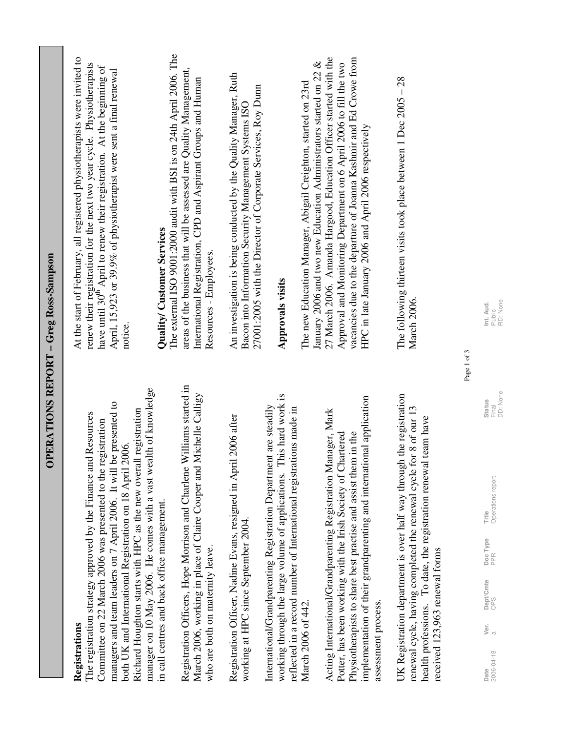| n marco<br>reg koss- |
|----------------------|
|                      |
|                      |
| OPERATIONS REPORT-   |

#### Registrations **Registrations**

manager on 10 May 2006. He comes with a vast wealth of knowledge manager on 10 May 2006. He comes with a vast wealth of knowledge managers and team leaders on 7 April 2006. It will be presented to managers and team leaders on 7 April 2006. It will be presented to Richard Houghton starts with HPC as the new overall registration Richard Houghton starts with HPC as the new overall registration The registration strategy approved by the Finance and Resources The registration strategy approved by the Finance and Resources Committee on 22 March 2006 was presented to the registration Committee on 22 March 2006 was presented to the registration both UK and International Registration on 18 April 2006. both UK and International Registration on 18 April 2006. in call centres and back office management. in call centres and back office management.

Registration Officers, Hope Morrison and Charlene Williams started in Registration Officers, Hope Morrison and Charlene Williams started in March 2006, working in place of Claire Cooper and Michelle Calligy March 2006, working in place of Claire Cooper and Michelle Calligy who are both on maternity leave. who are both on maternity leave.

Registration Officer, Nadine Evans, resigned in April 2006 after Registration Officer, Nadine Evans, resigned in April 2006 after working at HPC since September 2004. working at HPC since September 2004.

working through the large volume of applications. This hard work is working through the large volume of applications. This hard work is International/Grandparenting Registration Department are steadily International/Grandparenting Registration Department are steadily reflected in a record number of International registrations made in reflected in a record number of International registrations made in March 2006 of 442. March 2006 of 442.

implementation of their grandparenting and international application implementation of their grandparenting and international application Acting International/Grandparenting Registration Manager, Mark Acting International/Grandparenting Registration Manager, Mark Potter, has been working with the Irish Society of Chartered Physiotherapists to share best practise and assist them in the Physiotherapists to share best practise and assist them in the Potter, has been working with the Irish Society of Chartered assessment process. assessment process. UK Registration department is over half way through the registration UK Registration department is over half way through the registration renewal cycle, having completed the renewal cycle for 8 of our 13 renewal cycle, having completed the renewal cycle for 8 of our 13 health professions. To date, the registration renewal team have health professions. To date, the registration renewal team have received 123,963 renewal forms received 123,963 renewal forms

At the start of February, all registered physiotherapists were invited to At the start of February, all registered physiotherapists were invited to renew their registration for the next two year cycle. Physiotherapists renew their registration for the next two year cycle. Physiotherapists nave until 30<sup>th</sup> April to renew their registration. At the beginning of have until 30<sup>th</sup> April to renew their registration. At the beginning of April, 15,923 or 39.9% of physiotherapist were sent a final renewal April, 15,923 or 39.9% of physiotherapist were sent a final renewal notice.

### Quality/Customer Services **Quality/ Customer Services**

The external ISO 9001:2000 audit with BSI is on 24th April 2006. The The external ISO 9001:2000 audit with BSI is on 24th April 2006. The areas of the business that will be assessed are Quality Management, areas of the business that will be assessed are Quality Management, International Registration, CPD and Aspirant Groups and Human International Registration, CPD and Aspirant Groups and Human Resources - Employees. Resources - Employees.

An investigation is being conducted by the Quality Manager, Ruth An investigation is being conducted by the Quality Manager, Ruth 27001:2005 with the Director of Corporate Services, Roy Dunn 27001:2005 with the Director of Corporate Services, Roy Dunn Bacon into Information Security Management Systems ISO Bacon into Information Security Management Systems ISO

#### **Approvals visits Approvals visits**

27 March 2006. Amanda Hargood, Education Officer started with the vacancies due to the departure of Joanna Kashmir and Ed Crowe from 27 March 2006. Amanda Hargood, Education Officer started with the vacancies due to the departure of Joanna Kashmir and Ed Crowe from January 2006 and two new Education Administrators started on 22 & January 2006 and two new Education Administrators started on 22 & Approval and Monitoring Department on 6 April 2006 to fill the two Approval and Monitoring Department on 6 April 2006 to fill the two The new Education Manager, Abigail Creighton, started on 23rd The new Education Manager, Abigail Creighton, started on 23rd HPC in late January 2006 and April 2006 respectively HPC in late January 2006 and April 2006 respectively

The following thirteen visits took place between 1 Dec 2005 – 28 The following thirteen visits took place between 1 Dec 2005 - 28 March 2006. **March 2006.** 

Page 1 of 3 Page 1 of 3

**Date** Ver. Dept/Cmte DocType Title DocType Date Ver. Parally Status Final<br>DD: None Status 2006-04-18 a OPS PPR Operations report Final Title<br>Operations report Doc Type<br>PPR Dept/Cmte<br>OPS Ver.<br>a **Date**<br>2006-04-18

Public RD: None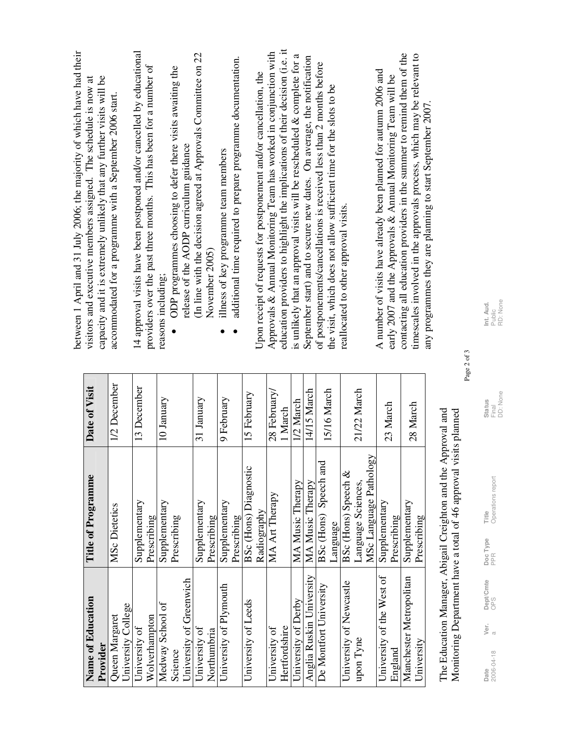| Name of Education         | Title of Programme           | Date of Visit |
|---------------------------|------------------------------|---------------|
| Provider                  |                              |               |
| Queen Margaret            | MSc Dietetics                | 1/2 December  |
| University College        |                              |               |
| University of             | Supplementary                | 13 December   |
| Wolverhampton             | Prescribing                  |               |
| Medway School of          | Supplementary                | 10 January    |
| Science                   | Prescribing                  |               |
| University of Greenwich   |                              |               |
| University of             | Supplementary                | 31 January    |
| Northumbria               | Prescribing                  |               |
| University of Plymouth    | Supplementary                | 9 February    |
|                           | Prescribing                  |               |
| University of Leeds       | <b>BSc</b> (Hons) Diagnostic | 15 February   |
|                           | Radiography                  |               |
| University of             | MA Art Therapy               | 28 February/  |
| Hertfordshire             |                              | 1 March       |
| University of Derby       | MA Music Therapy             | 1/2 March     |
| Anglia Ruskin University  | MA Music Therapy             | 14/15 March   |
| De Montfort University    | BSc (Hons) Speech and        | 15/16 March   |
|                           | Language                     |               |
| University of Newcastle   | BSc (Hons) Speech &          |               |
| upon Tyne                 | Language Sciences,           | 21/22 March   |
|                           | MSc Language Pathology       |               |
| University of the West of | Supplementary                | 23 March      |
| England                   | Prescribing                  |               |
| Manchester Metropolitan   | Supplementary                | 28 March      |
| University                | Prescribing                  |               |

The Education Manager, Abigail Creighton and the Approval and Monitoring Department have a total of 46 approval visits planned The Education Manager, Abigail Creighton and the Approval and Monitoring Department have a total of 46 approval visits planned

**Date** Ver. Dept/Cmte DocType Title DocType Date Ver. Parally Status 2006-04-18 a OPS PPR Operations report Final **Title**<br>Operations report Doc Type<br>PPR **Dept/Cmte**<br>OPS Ver.<br> $_{\alpha}$ **Date**<br>2006-04-18

Public RD: None

 ODP programmes choosing to defer there visits awaiting the ODP programmes choosing to defer there visits awaiting the release of the AODP curriculum guidance release of the AODP curriculum guidance

(In line with the decision agreed at Approvals Committee on 22 (In line with the decision agreed at Approvals Committee on 22 November 2005) November 2005)

- illness of key programme team members illness of key programme team members •
- additional time required to prepare programme documentation. additional time required to prepare programme documentation. •

education providers to highlight the implications of their decision (i.e. it education providers to highlight the implications of their decision (i.e. it Approvals & Annual Monitoring Team has worked in conjunction with Approvals & Annual Monitoring Team has worked in conjunction with is unlikely that an approval visits will be rescheduled & complete for a is unlikely that an approval visits will be rescheduled & complete for a September start) and to secure new dates. On average, the notification September start) and to secure new dates. On average, the notification of postponements/cancellations is received less than 2 months before of postponements/cancellations is received less than 2 months before Upon receipt of requests for postponement and/or cancellation, the Upon receipt of requests for postponement and/or cancellation, the the visit, which does not allow sufficient time for the slots to be the visit, which does not allow sufficient time for the slots to be reallocated to other approval visits. reallocated to other approval visits.

contacting all education providers in the summer to remind them of the contacting all education providers in the summer to remind them of the timescales involved in the approvals process, which may be relevant to timescales involved in the approvals process, which may be relevant to A number of visits have already been planned for autumn 2006 and A number of visits have already been planned for autumn 2006 and early 2007 and the Approvals & Annual Monitoring Team will be early 2007 and the Approvals & Annual Monitoring Team will be any programmes they are planning to start September 2007. any programmes they are planning to start September 2007.

between 1 April and 31 July 2006; the majority of which have had their between 1 April and 31 July 2006; the majority of which have had their capacity and it is extremely unlikely that any further visits will be visitors and executive members assigned. The schedule is now at visitors and executive members assigned. The schedule is now at capacity and it is extremely unlikely that any further visits will be accommodated for a programme with a September 2006 start. accommodated for a programme with a September 2006 start.

14 approval visits have been postponed and/or cancelled by educational providers over the past three months. This has been for a number of

providers over the past three months. This has been for a number of

14 approval visits have been postponed and/or cancelled by educational

reasons including;

reasons including;

•